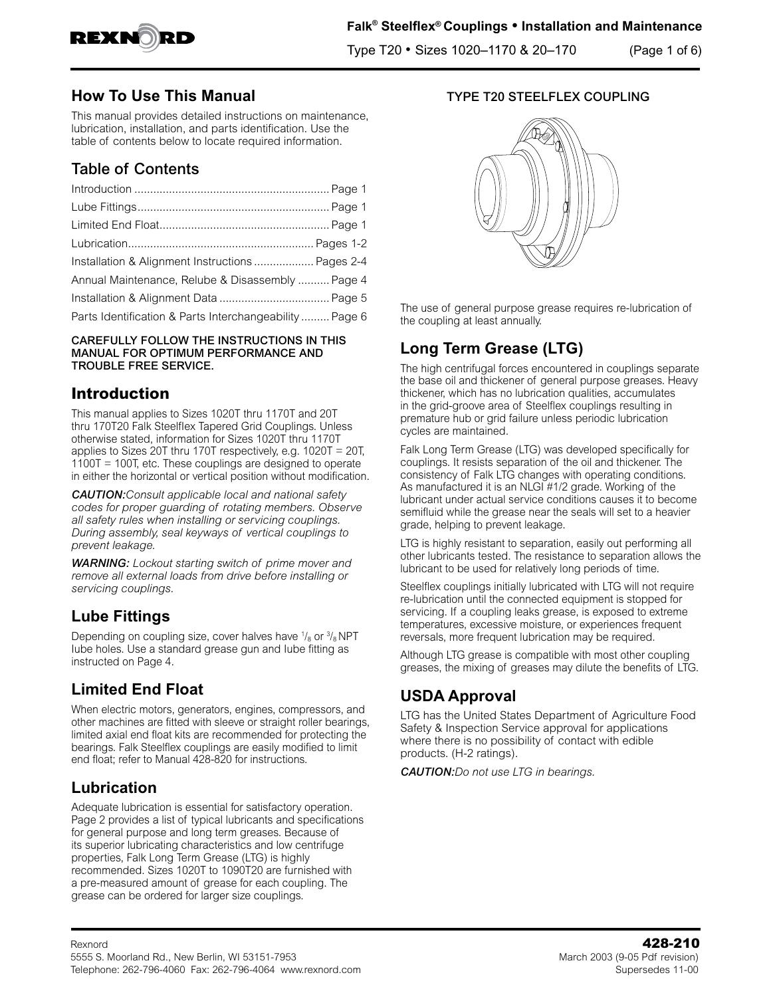

Type T20 • Sizes 1020–1170 & 20–170 (Page 1 of 6)

## **How To Use This Manual**

This manual provides detailed instructions on maintenance, lubrication, installation, and parts identification. Use the table of contents below to locate required information.

# Table of Contents

| Installation & Alignment Instructions  Pages 2-4        |  |
|---------------------------------------------------------|--|
| Annual Maintenance, Relube & Disassembly  Page 4        |  |
|                                                         |  |
| Parts Identification & Parts Interchangeability  Page 6 |  |

#### CAREFULLY FOLLOW THE INSTRUCTIONS IN THIS MANUAL FOR OPTIMUM PERFORMANCE AND TROUBLE FREE SERVICE.

# **Introduction**

This manual applies to Sizes 1020T thru 1170T and 20T thru 170T20 Falk SteelfIex Tapered Grid Couplings. Unless otherwise stated, information for Sizes 1020T thru 1170T applies to Sizes 20T thru 170T respectively, e.g. 1020T = 20T, 1100T = 100T, etc. These couplings are designed to operate in either the horizontal or vertical position without modification.

*CAUTION:Consult applicable local and national safety codes for proper guarding of rotating members. Observe all safety rules when installing or servicing couplings. During assembly, seal keyways of vertical couplings to prevent leakage.* 

*WARNING: Lockout starting switch of prime mover and remove all external loads from drive before installing or servicing couplings.* 

# **Lube Fittings**

Depending on coupling size, cover halves have  $\frac{1}{8}$  or  $\frac{3}{8}$  NPT Iube holes. Use a standard grease gun and Iube fitting as instructed on Page 4.

# **Limited End Float**

When electric motors, generators, engines, compressors, and other machines are fitted with sleeve or straight roller bearings, limited axial end float kits are recommended for protecting the bearings. Falk Steelflex couplings are easily modified to limit end float; refer to Manual 428-820 for instructions.

# **Lubrication**

Adequate lubrication is essential for satisfactory operation. Page 2 provides a list of typical lubricants and specifications for general purpose and long term greases. Because of its superior lubricating characteristics and low centrifuge properties, Falk Long Term Grease (LTG) is highly recommended. Sizes 1020T to 1090T20 are furnished with a pre-measured amount of grease for each coupling. The grease can be ordered for larger size couplings.

### TYPE T20 STEELFLEX COUPLING



The use of general purpose grease requires re-lubrication of the coupling at least annually.

# **Long Term Grease (LTG)**

The high centrifugal forces encountered in couplings separate the base oil and thickener of general purpose greases. Heavy thickener, which has no lubrication qualities, accumulates in the grid-groove area of Steelflex couplings resulting in premature hub or grid failure unless periodic lubrication cycles are maintained.

Falk Long Term Grease (LTG) was developed specifically for couplings. It resists separation of the oil and thickener. The consistency of Falk LTG changes with operating conditions. As manufactured it is an NLGI #1/2 grade. Working of the lubricant under actual service conditions causes it to become semifluid while the grease near the seals will set to a heavier grade, helping to prevent leakage.

LTG is highly resistant to separation, easily out performing all other lubricants tested. The resistance to separation allows the lubricant to be used for relatively long periods of time.

Steelflex couplings initially lubricated with LTG will not require re-lubrication until the connected equipment is stopped for servicing. If a coupling leaks grease, is exposed to extreme temperatures, excessive moisture, or experiences frequent reversals, more frequent lubrication may be required.

Although LTG grease is compatible with most other coupling greases, the mixing of greases may dilute the benefits of LTG.

# **USDA Approval**

LTG has the United States Department of Agriculture Food Safety & Inspection Service approval for applications where there is no possibility of contact with edible products. (H-2 ratings).

*CAUTION:Do not use LTG in bearings.*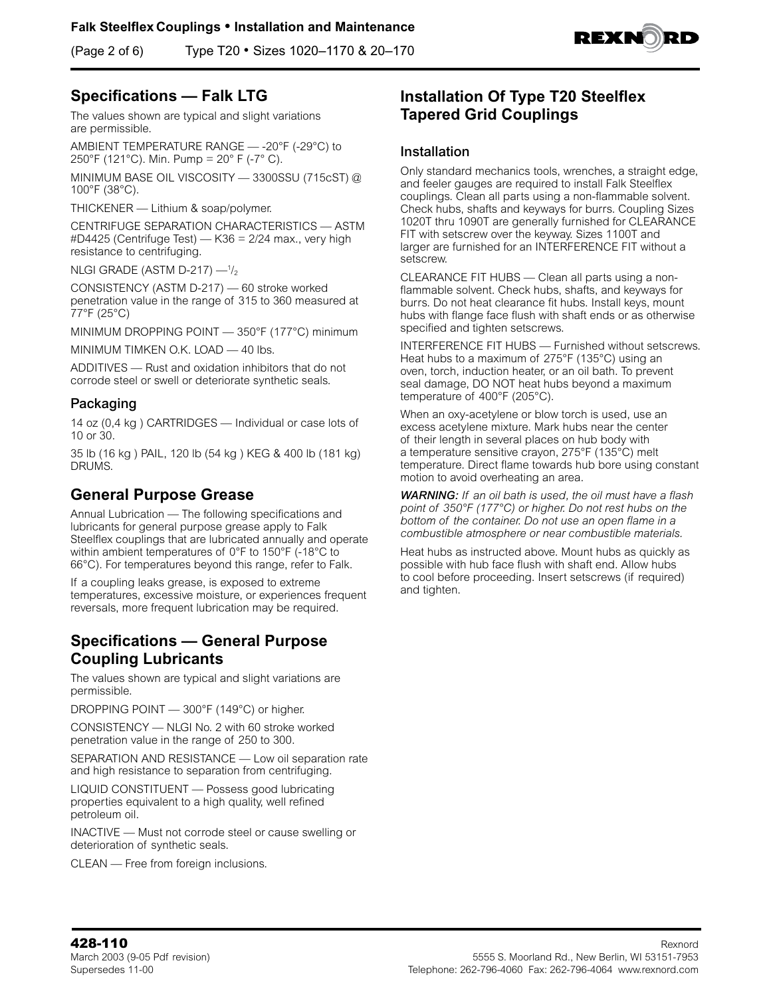(Page 2 of 6) Type T20 • Sizes 1020–1170 & 20–170



# **Specifications — Falk LTG**

The values shown are typical and slight variations are permissible.

AMBIENT TEMPERATURE RANGE — -20°F (-29°C) to 250°F (121°C). Min. Pump = 20° F (-7° C).

MINIMUM BASE OIL VISCOSITY — 3300SSU (715cST) @ 100°F (38°C).

THICKENER — Lithium & soap/polymer.

CENTRIFUGE SEPARATION CHARACTERISTICS — ASTM #D4425 (Centrifuge Test) — K36 = 2/24 max., very high resistance to centrifuging.

NLGI GRADE (ASTM D-217)  $-$ <sup>1</sup>/<sub>2</sub>

CONSISTENCY (ASTM D-217) — 60 stroke worked penetration value in the range of 315 to 360 measured at 77°F (25°C)

MINIMUM DROPPING POINT — 350°F (177°C) minimum

MINIMUM TIMKEN O.K. LOAD — 40 lbs.

ADDITIVES — Rust and oxidation inhibitors that do not corrode steel or swell or deteriorate synthetic seals.

### Packaging

14 oz (0,4 kg ) CARTRIDGES — Individual or case lots of 10 or 30.

35 lb (16 kg ) PAIL, 120 lb (54 kg ) KEG & 400 lb (181 kg) DRUMS.

## **General Purpose Grease**

Annual Lubrication — The following specifications and lubricants for general purpose grease apply to Falk Steelflex couplings that are lubricated annually and operate within ambient temperatures of 0°F to 150°F (-18°C to 66°C). For temperatures beyond this range, refer to Falk.

If a coupling leaks grease, is exposed to extreme temperatures, excessive moisture, or experiences frequent reversals, more frequent lubrication may be required.

## **Specifications — General Purpose Coupling Lubricants**

The values shown are typical and slight variations are permissible.

DROPPING POINT — 300°F (149°C) or higher.

CONSISTENCY — NLGI No. 2 with 60 stroke worked penetration value in the range of 250 to 300.

SEPARATION AND RESISTANCE — Low oil separation rate and high resistance to separation from centrifuging.

LIQUID CONSTITUENT — Possess good lubricating properties equivalent to a high quality, well refined petroleum oil.

INACTIVE — Must not corrode steel or cause swelling or deterioration of synthetic seals.

CLEAN — Free from foreign inclusions.

## **Installation Of Type T20 Steelflex Tapered Grid Couplings**

### Installation

Only standard mechanics tools, wrenches, a straight edge, and feeler gauges are required to install Falk Steelflex couplings. Clean all parts using a non-flammable solvent. Check hubs, shafts and keyways for burrs. Coupling Sizes 1020T thru 1090T are generally furnished for CLEARANCE FIT with setscrew over the keyway. Sizes 1100T and larger are furnished for an INTERFERENCE FIT without a setscrew.

CLEARANCE FIT HUBS — Clean all parts using a nonflammable solvent. Check hubs, shafts, and keyways for burrs. Do not heat clearance fit hubs. Install keys, mount hubs with flange face flush with shaft ends or as otherwise specified and tighten setscrews.

INTERFERENCE FIT HUBS — Furnished without setscrews. Heat hubs to a maximum of 275°F (135°C) using an oven, torch, induction heater, or an oil bath. To prevent seal damage, DO NOT heat hubs beyond a maximum temperature of 400°F (205°C).

When an oxy-acetylene or blow torch is used, use an excess acetylene mixture. Mark hubs near the center of their length in several places on hub body with a temperature sensitive crayon, 275°F (135°C) melt temperature. Direct flame towards hub bore using constant motion to avoid overheating an area.

*WARNING: If an oil bath is used, the oil must have a flash point of 350°F (177°C) or higher. Do not rest hubs on the bottom of the container. Do not use an open flame in a combustible atmosphere or near combustible materials.* 

Heat hubs as instructed above. Mount hubs as quickly as possible with hub face flush with shaft end. Allow hubs to cool before proceeding. Insert setscrews (if required) and tighten.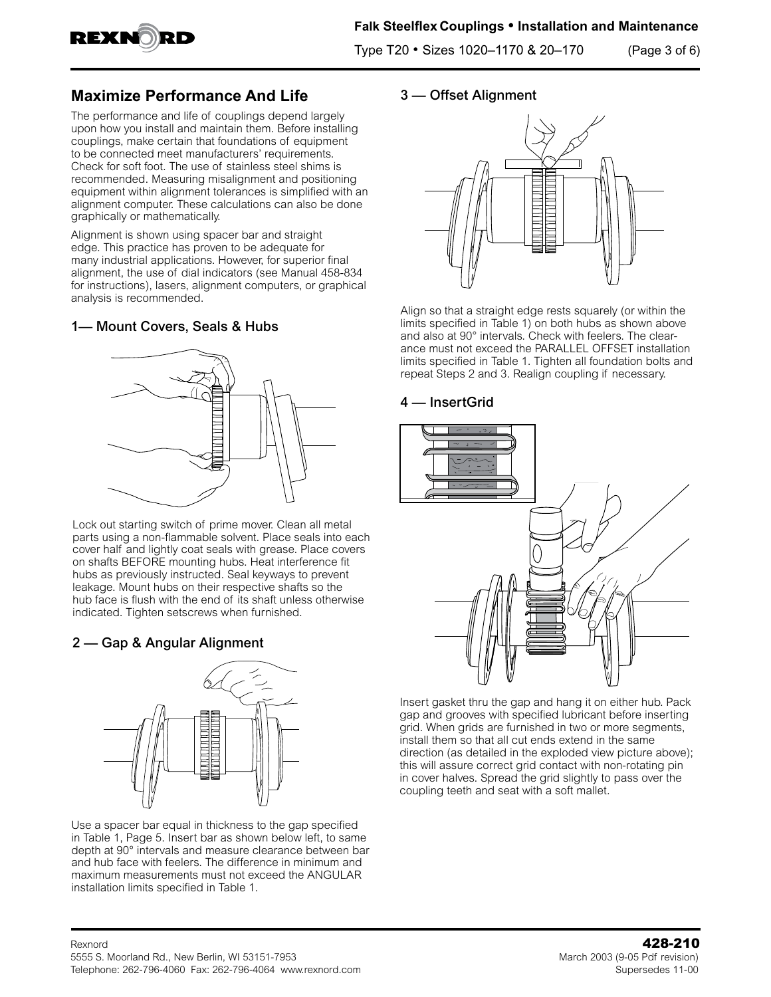

Type T20 • Sizes 1020–1170 & 20–170 (Page 3 of 6)

# **Maximize Performance And Life**

The performance and life of couplings depend largely upon how you install and maintain them. Before installing couplings, make certain that foundations of equipment to be connected meet manufacturers' requirements. Check for soft foot. The use of stainless steel shims is recommended. Measuring misalignment and positioning equipment within alignment tolerances is simplified with an alignment computer. These calculations can also be done graphically or mathematically.

Alignment is shown using spacer bar and straight edge. This practice has proven to be adequate for many industrial applications. However, for superior final alignment, the use of dial indicators (see Manual 458-834 for instructions), lasers, alignment computers, or graphical analysis is recommended.

### 1— Mount Covers, Seals & Hubs



Lock out starting switch of prime mover. Clean all metal parts using a non-flammable solvent. Place seals into each cover half and lightly coat seals with grease. Place covers on shafts BEFORE mounting hubs. Heat interference fit hubs as previously instructed. Seal keyways to prevent leakage. Mount hubs on their respective shafts so the hub face is flush with the end of its shaft unless otherwise indicated. Tighten setscrews when furnished.

## 2 — Gap & Angular Alignment



Use a spacer bar equal in thickness to the gap specified in Table 1, Page 5. Insert bar as shown below left, to same depth at 90° intervals and measure clearance between bar and hub face with feelers. The difference in minimum and maximum measurements must not exceed the ANGULAR installation limits specified in Table 1.

#### 3 — Offset Alignment



Align so that a straight edge rests squarely (or within the limits specified in Table 1) on both hubs as shown above and also at 90° intervals. Check with feelers. The clearance must not exceed the PARALLEL OFFSET installation limits specified in Table 1. Tighten all foundation bolts and repeat Steps 2 and 3. Realign coupling if necessary.

### 4 — InsertGrid



Insert gasket thru the gap and hang it on either hub. Pack gap and grooves with specified lubricant before inserting grid. When grids are furnished in two or more segments, install them so that all cut ends extend in the same direction (as detailed in the exploded view picture above); this will assure correct grid contact with non-rotating pin in cover halves. Spread the grid slightly to pass over the coupling teeth and seat with a soft mallet*.*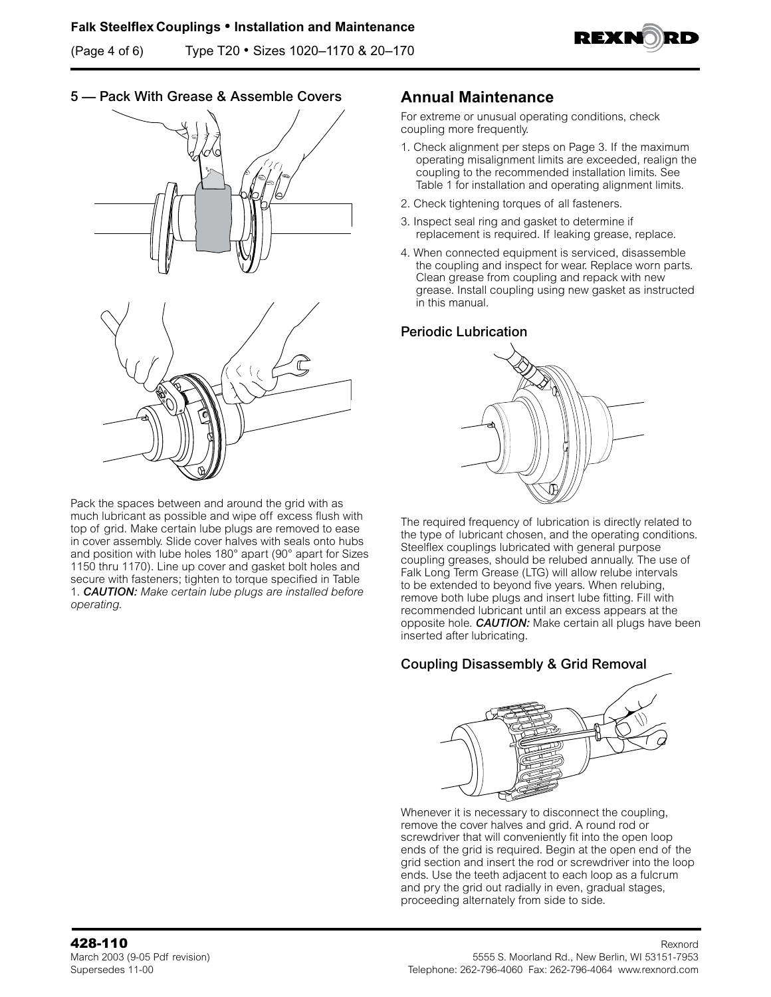(Page 4 of 6) Type T20 • Sizes 1020–1170 & 20–170



### 5 — Pack With Grease & Assemble Covers





Pack the spaces between and around the grid with as much lubricant as possible and wipe off excess flush with top of grid. Make certain lube plugs are removed to ease in cover assembly. Slide cover halves with seals onto hubs and position with lube holes 180° apart (90° apart for Sizes 1150 thru 1170). Line up cover and gasket bolt holes and secure with fasteners; tighten to torque specified in Table 1. *CAUTION: Make certain lube plugs are installed before operating.* 

### **Annual Maintenance**

For extreme or unusual operating conditions, check coupling more frequently.

- 1. Check alignment per steps on Page 3. If the maximum operating misalignment limits are exceeded, realign the coupling to the recommended installation limits. See Table 1 for installation and operating alignment limits.
- 2. Check tightening torques of all fasteners.
- 3. Inspect seal ring and gasket to determine if replacement is required. If leaking grease, replace.
- 4. When connected equipment is serviced, disassemble the coupling and inspect for wear. Replace worn parts. Clean grease from coupling and repack with new grease. Install coupling using new gasket as instructed in this manual.

#### Periodic Lubrication



The required frequency of lubrication is directly related to the type of lubricant chosen, and the operating conditions. Steelflex couplings lubricated with general purpose coupling greases, should be relubed annually. The use of Falk Long Term Grease (LTG) will allow relube intervals to be extended to beyond five years. When relubing, remove both lube plugs and insert lube fitting. Fill with recommended lubricant until an excess appears at the opposite hole. *CAUTION:* Make certain all plugs have been inserted after lubricating.

## Coupling Disassembly & Grid Removal



Whenever it is necessary to disconnect the coupling, remove the cover halves and grid. A round rod or screwdriver that will conveniently fit into the open loop ends of the grid is required. Begin at the open end of the grid section and insert the rod or screwdriver into the loop ends. Use the teeth adjacent to each loop as a fulcrum and pry the grid out radially in even, gradual stages, proceeding alternately from side to side.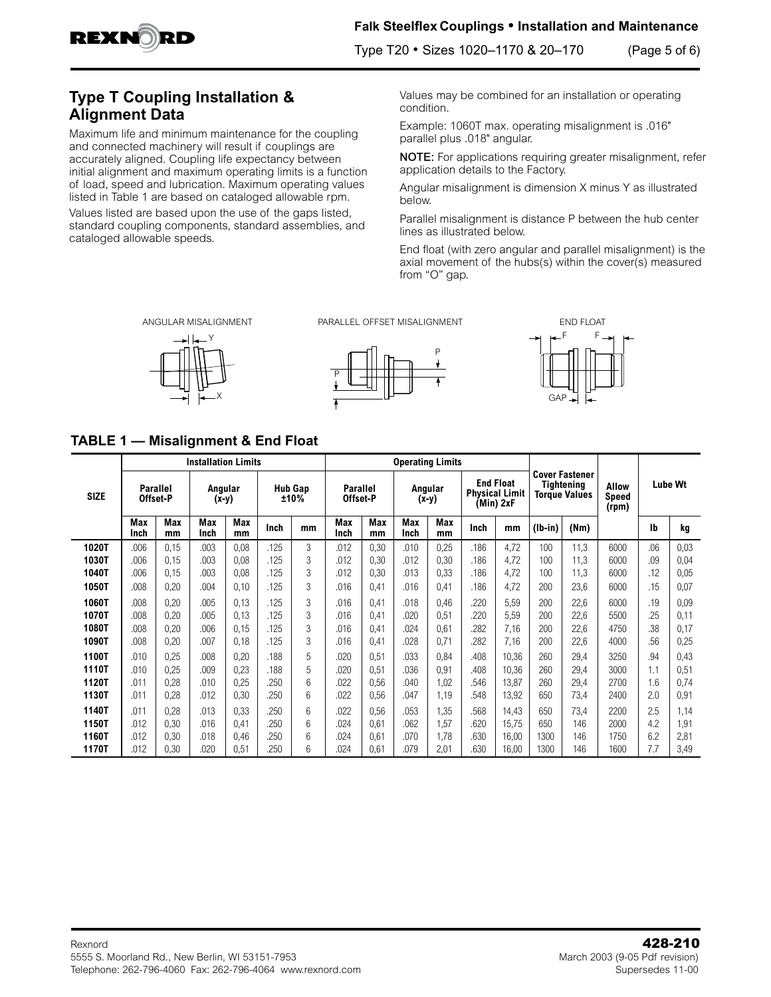

### **Falk Steelflex Couplings • Installation and Maintenance**

Type T20 • Sizes 1020–1170 & 20–170 (Page 5 of 6)

# **Type T Coupling Installation & Alignment Data**

Maximum life and minimum maintenance for the coupling and connected machinery will result if couplings are accurately aligned. Coupling life expectancy between initial alignment and maximum operating limits is a function of load, speed and lubrication. Maximum operating values listed in Table 1 are based on cataloged allowable rpm.

Values listed are based upon the use of the gaps listed, standard coupling components, standard assemblies, and cataloged allowable speeds.

Values may be combined for an installation or operating condition.

Example: 1060T max. operating misalignment is .016" parallel plus .018" angular.

NOTE: For applications requiring greater misalignment, refer application details to the Factory.

Angular misalignment is dimension X minus Y as illustrated below.

Parallel misalignment is distance P between the hub center lines as illustrated below.

End float (with zero angular and parallel misalignment) is the axial movement of the hubs(s) within the cover(s) measured from "O" gap.

ANGULAR MISALIGNMENT

PARALLEL OFFSET MISALIGNMENT END FLOAT







**TABLE 1 — Misalignment & End Float** 

|             | <b>Installation Limits</b>  |                  |                    |                  |                        |    | <b>Operating Limits</b>     |           |                    |           |                                                        |       |                                                                    |      |                                |         |      |
|-------------|-----------------------------|------------------|--------------------|------------------|------------------------|----|-----------------------------|-----------|--------------------|-----------|--------------------------------------------------------|-------|--------------------------------------------------------------------|------|--------------------------------|---------|------|
| <b>SIZE</b> | <b>Parallel</b><br>Offset-P |                  | Angular<br>$(x-y)$ |                  | <b>Hub Gap</b><br>±10% |    | <b>Parallel</b><br>Offset-P |           | Angular<br>$(x-y)$ |           | <b>End Float</b><br><b>Physical Limit</b><br>(Min) 2xF |       | <b>Cover Fastener</b><br><b>Tightening</b><br><b>Torque Values</b> |      | <b>Allow</b><br>Speed<br>(rpm) | Lube Wt |      |
|             | <b>Max</b><br>Inch          | <b>Max</b><br>mm | Max<br>Inch        | <b>Max</b><br>mm | Inch                   | mm | Max<br>Inch                 | Max<br>mm | Max<br>Inch        | Max<br>mm | Inch                                                   | mm    | $(lb-in)$                                                          | (Nm) |                                | Ib      | kg   |
| 1020T       | .006                        | 0.15             | .003               | 0,08             | .125                   | 3  | .012                        | 0,30      | .010               | 0,25      | .186                                                   | 4,72  | 100                                                                | 11,3 | 6000                           | .06     | 0,03 |
| 1030T       | .006                        | 0,15             | .003               | 0,08             | .125                   | 3  | .012                        | 0,30      | .012               | 0,30      | .186                                                   | 4,72  | 100                                                                | 11,3 | 6000                           | .09     | 0,04 |
| 1040T       | .006                        | 0,15             | .003               | 0,08             | .125                   | 3  | .012                        | 0,30      | .013               | 0,33      | .186                                                   | 4,72  | 100                                                                | 11,3 | 6000                           | .12     | 0,05 |
| 1050T       | .008                        | 0,20             | .004               | 0,10             | .125                   | 3  | .016                        | 0,41      | .016               | 0,41      | .186                                                   | 4,72  | 200                                                                | 23,6 | 6000                           | .15     | 0,07 |
| 1060T       | .008                        | 0,20             | .005               | 0,13             | .125                   | 3  | 016                         | 0,41      | .018               | 0,46      | 220                                                    | 5,59  | 200                                                                | 22,6 | 6000                           | .19     | 0,09 |
| 1070T       | .008                        | 0,20             | .005               | 0,13             | .125                   | 3  | 016                         | 0,41      | .020               | 0,51      | 220                                                    | 5,59  | 200                                                                | 22,6 | 5500                           | .25     | 0,11 |
| 1080T       | .008                        | 0,20             | .006               | 0,15             | .125                   | 3  | 016                         | 0,41      | .024               | 0,61      | 282                                                    | 7,16  | 200                                                                | 22,6 | 4750                           | .38     | 0,17 |
| 1090T       | .008                        | 0,20             | .007               | 0,18             | .125                   | 3  | .016                        | 0,41      | .028               | 0,71      | 282                                                    | 7,16  | 200                                                                | 22,6 | 4000                           | .56     | 0,25 |
| 1100T       | .010                        | 0,25             | .008               | 0,20             | .188                   | 5  | .020                        | 0,51      | .033               | 0,84      | .408                                                   | 10,36 | 260                                                                | 29,4 | 3250                           | .94     | 0,43 |
| 1110T       | .010                        | 0,25             | .009               | 0,23             | .188                   | 5  | .020                        | 0,51      | .036               | 0,91      | .408                                                   | 10,36 | 260                                                                | 29,4 | 3000                           | 1.1     | 0,51 |
| 1120T       | .011                        | 0,28             | .010               | 0,25             | .250                   | 6  | 022                         | 0,56      | .040               | 1,02      | 546                                                    | 13,87 | 260                                                                | 29,4 | 2700                           | 1.6     | 0,74 |
| 1130T       | .011                        | 0,28             | .012               | 0,30             | .250                   | 6  | .022                        | 0,56      | .047               | 1,19      | .548                                                   | 13,92 | 650                                                                | 73,4 | 2400                           | 2.0     | 0,91 |
| 1140T       | .011                        | 0,28             | .013               | 0,33             | .250                   | 6  | 022                         | 0,56      | .053               | 1,35      | .568                                                   | 14,43 | 650                                                                | 73,4 | 2200                           | 2.5     | 1,14 |
| 1150T       | .012                        | 0,30             | .016               | 0,41             | .250                   | 6  | 024                         | 0,61      | .062               | 1,57      | 620                                                    | 15,75 | 650                                                                | 146  | 2000                           | 4.2     | 1,91 |
| 1160T       | .012                        | 0,30             | .018               | 0,46             | .250                   | 6  | .024                        | 0,61      | .070               | 1,78      | .630                                                   | 16,00 | 1300                                                               | 146  | 1750                           | 6.2     | 2,81 |
| 1170T       | .012                        | 0,30             | .020               | 0,51             | .250                   | 6  | .024                        | 0,61      | .079               | 2,01      | .630                                                   | 16,00 | 1300                                                               | 146  | 1600                           | 7.7     | 3,49 |